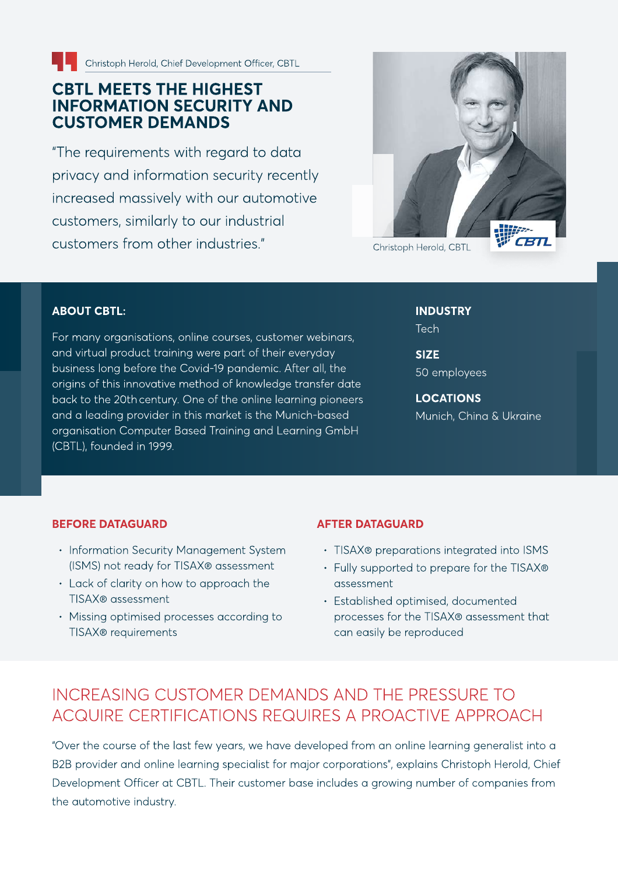

# CBTL MEETS THE HIGHEST<br>INFORMATION SECURITY AND<br>CUSTOMER DEMANDS

"The requirements with regard to data privacy and information security recently increased massively with our automotive customers, similarly to our industrial customers from other industries." Christoph Herold, CBTL



#### ABOUT CBTL:

For many organisations, online courses, customer webinars, and virtual product training were part of their everyday business long before the Covid-19 pandemic. After all, the origins of this innovative method of knowledge transfer date back to the 20th century. One of the online learning pioneers and a leading provider in this market is the Munich-based organisation Computer Based Training and Learning GmbH (CBTL), founded in 1999.

INDUSTRY Tech

**SIZE** 50 employees

LOCATIONS Munich, China & Ukraine

#### **BEFORE DATAGUARD**

- Information Security Management System (ISMS) not ready for TISAX® assessment
- Lack of clarity on how to approach the TISAX® assessment
- Missing optimised processes according to TISAX® requirements

#### **AFTER DATAGUARD**

- TISAX® preparations integrated into ISMS
- Fully supported to prepare for the TISAX® assessment
- **· Established optimised, documented** processes for the TISAX® assessment that can easily be reproduced

#### Increasing customer demands and the pressure to acquire certifications requires a proactive approach

"Over the course of the last few years, we have developed from an online learning generalist into a B2B provider and online learning specialist for major corporations", explains Christoph Herold, Chief Development Officer at CBTL. Their customer base includes a growing number of companies from the automotive industry.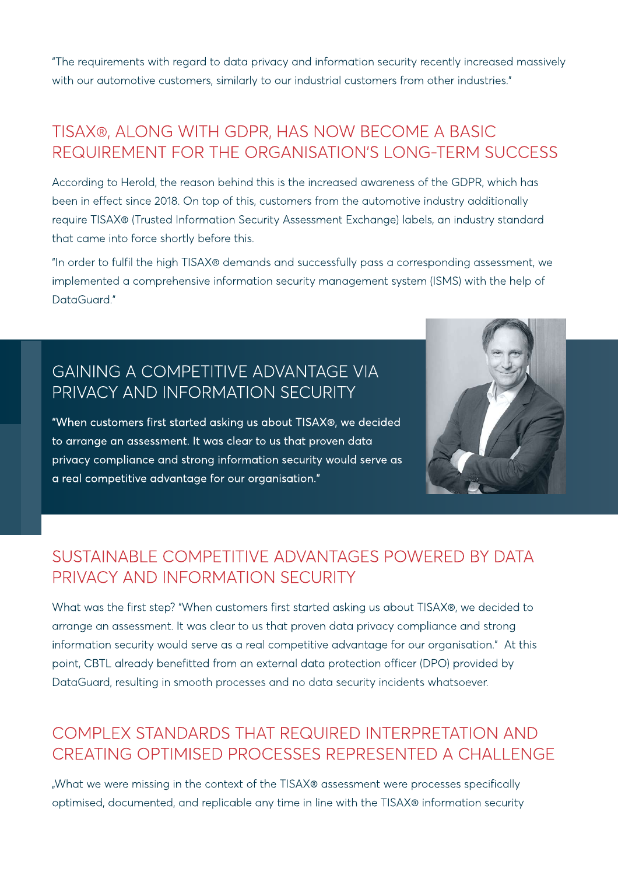"The requirements with regard to data privacy and information security recently increased massively with our automotive customers, similarly to our industrial customers from other industries."

## TISAX®, along with GDPR, has now become a basic requirement for the organisation's long-term success

According to Herold, the reason behind this is the increased awareness of the GDPR, which has been in effect since 2018. On top of this, customers from the automotive industry additionally require TISAX® (Trusted Information Security Assessment Exchange) labels, an industry standard that came into force shortly before this.

"In order to fulfil the high TISAX® demands and successfully pass a corresponding assessment, we implemented a comprehensive information security management system (ISMS) with the help of DataGuard."

### GAINING A competitive advantage VIA privacy and information security

"When customers first started asking us about TISAX®, we decided to arrange an assessment. It was clear to us that proven data privacy compliance and strong information security would serve as a real competitive advantage for our organisation."



#### Sustainable competitive advantages powered by data privacy and information security

What was the first step? "When customers first started asking us about TISAX®, we decided to arrange an assessment. It was clear to us that proven data privacy compliance and strong information security would serve as a real competitive advantage for our organisation." At this point, CBTL already benefitted from an external data protection officer (DPO) provided by DataGuard, resulting in smooth processes and no data security incidents whatsoever.

### Complex standards that required interpretation and creating optimised processes represented a challenge

"What we were missing in the context of the TISAX® assessment were processes specifically optimised, documented, and replicable any time in line with the TISAX® information security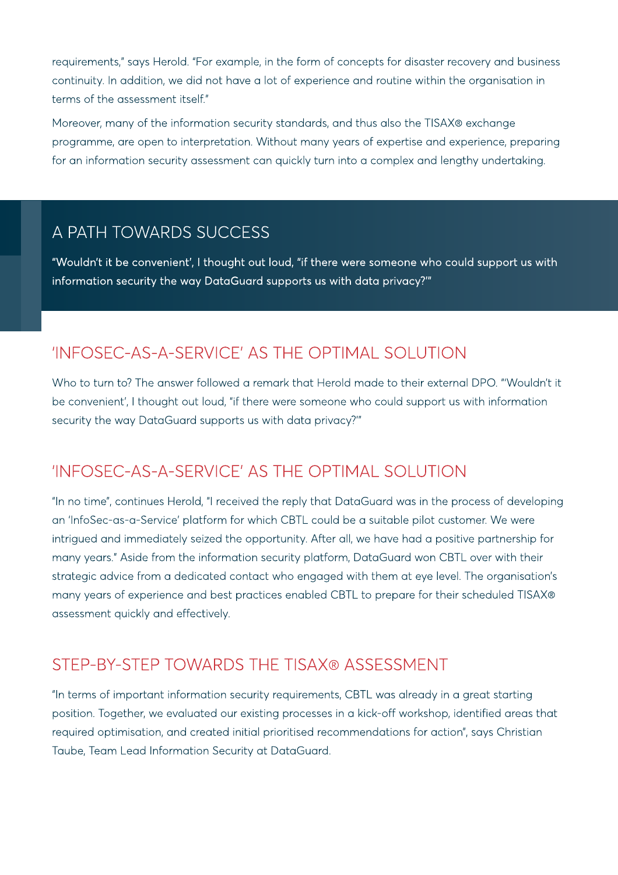requirements," says Herold. "For example, in the form of concepts for disaster recovery and business continuity. In addition, we did not have a lot of experience and routine within the organisation in terms of the assessment itself."

Moreover, many of the information security standards, and thus also the TISAX® exchange programme, are open to interpretation. Without many years of expertise and experience, preparing for an information security assessment can quickly turn into a complex and lengthy undertaking.

#### A PATH TOWARDS SUCCESS

"Wouldn't it be convenient', I thought out loud, "if there were someone who could support us with information security the way DataGuard supports us with data privacy?'"

## 'InfoSec-as-a-Service' as the optimal solution

Who to turn to? The answer followed a remark that Herold made to their external DPO. "'Wouldn't it be convenient', I thought out loud, "if there were someone who could support us with information security the way DataGuard supports us with data privacy?'"

## 'InfoSec-as-a-Service' as the optimal solution

"In no time", continues Herold, "I received the reply that DataGuard was in the process of developing an 'InfoSec-as-a-Service' platform for which CBTL could be a suitable pilot customer. We were intrigued and immediately seized the opportunity. After all, we have had a positive partnership for many years." Aside from the information security platform, DataGuard won CBTL over with their strategic advice from a dedicated contact who engaged with them at eye level. The organisation's many years of experience and best practices enabled CBTL to prepare for their scheduled TISAX® assessment quickly and effectively.

#### Step-by-step towards the TISAX® assessment

"In terms of important information security requirements, CBTL was already in a great starting position. Together, we evaluated our existing processes in a kick-off workshop, identified areas that required optimisation, and created initial prioritised recommendations for action", says Christian Taube, Team Lead Information Security at DataGuard.